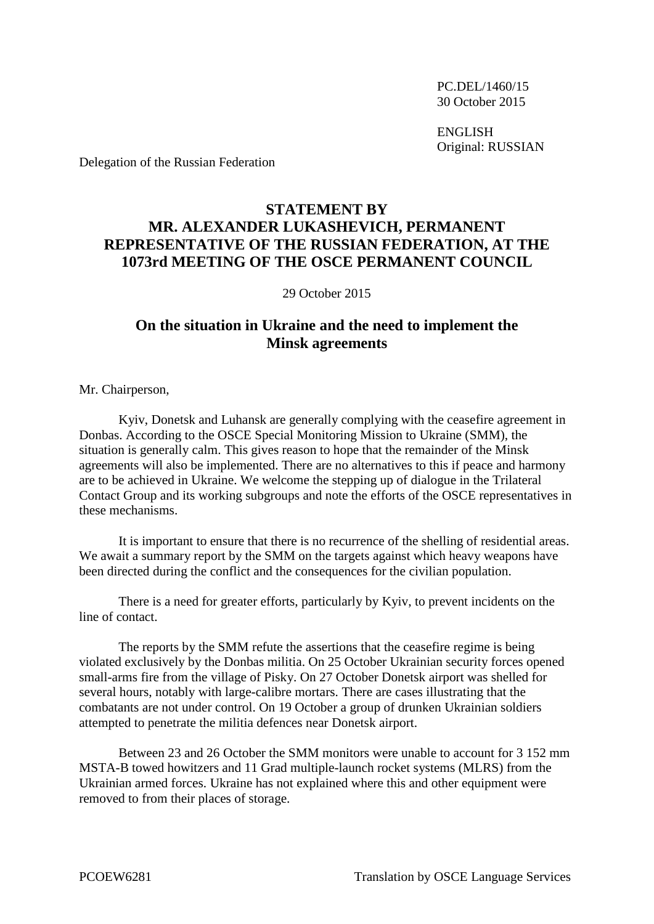PC.DEL/1460/15 30 October 2015

ENGLISH Original: RUSSIAN

Delegation of the Russian Federation

## **STATEMENT BY MR. ALEXANDER LUKASHEVICH, PERMANENT REPRESENTATIVE OF THE RUSSIAN FEDERATION, AT THE 1073rd MEETING OF THE OSCE PERMANENT COUNCIL**

29 October 2015

## **On the situation in Ukraine and the need to implement the Minsk agreements**

Mr. Chairperson,

Kyiv, Donetsk and Luhansk are generally complying with the ceasefire agreement in Donbas. According to the OSCE Special Monitoring Mission to Ukraine (SMM), the situation is generally calm. This gives reason to hope that the remainder of the Minsk agreements will also be implemented. There are no alternatives to this if peace and harmony are to be achieved in Ukraine. We welcome the stepping up of dialogue in the Trilateral Contact Group and its working subgroups and note the efforts of the OSCE representatives in these mechanisms.

It is important to ensure that there is no recurrence of the shelling of residential areas. We await a summary report by the SMM on the targets against which heavy weapons have been directed during the conflict and the consequences for the civilian population.

There is a need for greater efforts, particularly by Kyiv, to prevent incidents on the line of contact.

The reports by the SMM refute the assertions that the ceasefire regime is being violated exclusively by the Donbas militia. On 25 October Ukrainian security forces opened small-arms fire from the village of Pisky. On 27 October Donetsk airport was shelled for several hours, notably with large-calibre mortars. There are cases illustrating that the combatants are not under control. On 19 October a group of drunken Ukrainian soldiers attempted to penetrate the militia defences near Donetsk airport.

Between 23 and 26 October the SMM monitors were unable to account for 3 152 mm MSTA-B towed howitzers and 11 Grad multiple-launch rocket systems (MLRS) from the Ukrainian armed forces. Ukraine has not explained where this and other equipment were removed to from their places of storage.